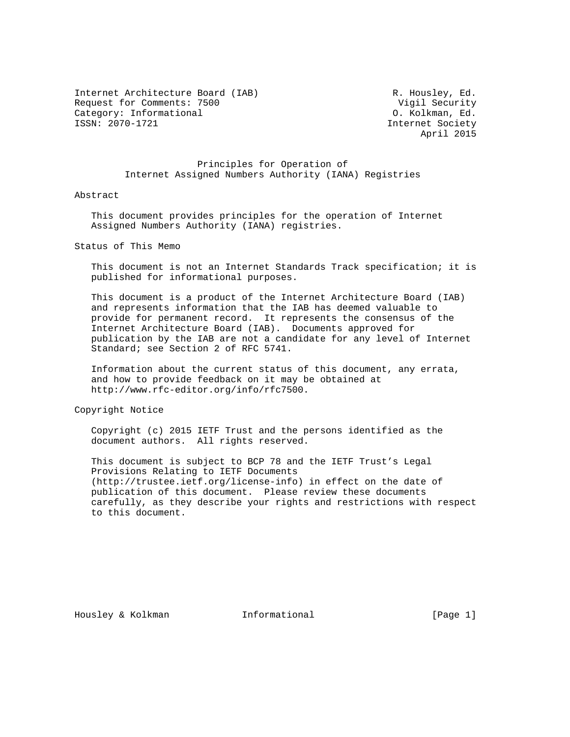Internet Architecture Board (IAB) R. Housley, Ed. Request for Comments: 7500 <br>Category: Informational Category: Informational (0. Kolkman, Ed. Category: Informational<br>ISSN: 2070-1721

Internet Society April 2015

 Principles for Operation of Internet Assigned Numbers Authority (IANA) Registries

## Abstract

 This document provides principles for the operation of Internet Assigned Numbers Authority (IANA) registries.

Status of This Memo

 This document is not an Internet Standards Track specification; it is published for informational purposes.

 This document is a product of the Internet Architecture Board (IAB) and represents information that the IAB has deemed valuable to provide for permanent record. It represents the consensus of the Internet Architecture Board (IAB). Documents approved for publication by the IAB are not a candidate for any level of Internet Standard; see Section 2 of RFC 5741.

 Information about the current status of this document, any errata, and how to provide feedback on it may be obtained at http://www.rfc-editor.org/info/rfc7500.

Copyright Notice

 Copyright (c) 2015 IETF Trust and the persons identified as the document authors. All rights reserved.

 This document is subject to BCP 78 and the IETF Trust's Legal Provisions Relating to IETF Documents (http://trustee.ietf.org/license-info) in effect on the date of publication of this document. Please review these documents carefully, as they describe your rights and restrictions with respect to this document.

Housley & Kolkman Thermational (Page 1)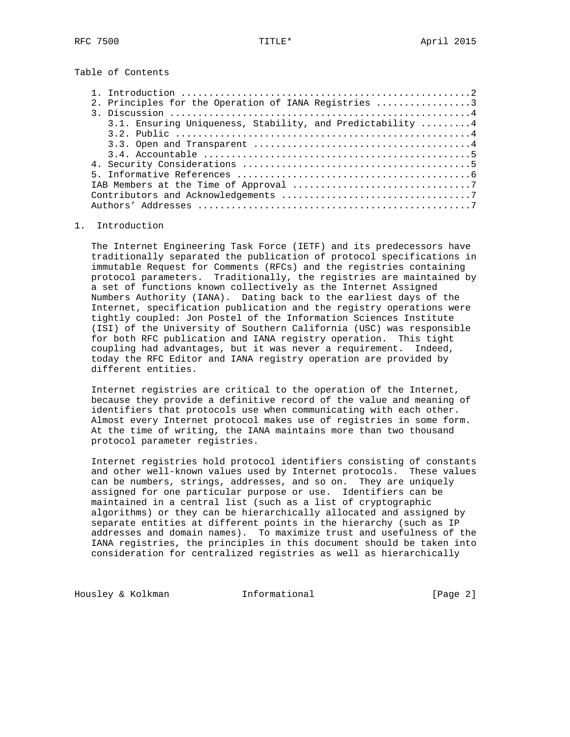Table of Contents

| 2. Principles for the Operation of IANA Registries 3       |  |
|------------------------------------------------------------|--|
|                                                            |  |
| 3.1. Ensuring Uniqueness, Stability, and Predictability  4 |  |
|                                                            |  |
|                                                            |  |
|                                                            |  |
|                                                            |  |
|                                                            |  |
|                                                            |  |
|                                                            |  |
|                                                            |  |

## 1. Introduction

 The Internet Engineering Task Force (IETF) and its predecessors have traditionally separated the publication of protocol specifications in immutable Request for Comments (RFCs) and the registries containing protocol parameters. Traditionally, the registries are maintained by a set of functions known collectively as the Internet Assigned Numbers Authority (IANA). Dating back to the earliest days of the Internet, specification publication and the registry operations were tightly coupled: Jon Postel of the Information Sciences Institute (ISI) of the University of Southern California (USC) was responsible for both RFC publication and IANA registry operation. This tight coupling had advantages, but it was never a requirement. Indeed, today the RFC Editor and IANA registry operation are provided by different entities.

 Internet registries are critical to the operation of the Internet, because they provide a definitive record of the value and meaning of identifiers that protocols use when communicating with each other. Almost every Internet protocol makes use of registries in some form. At the time of writing, the IANA maintains more than two thousand protocol parameter registries.

 Internet registries hold protocol identifiers consisting of constants and other well-known values used by Internet protocols. These values can be numbers, strings, addresses, and so on. They are uniquely assigned for one particular purpose or use. Identifiers can be maintained in a central list (such as a list of cryptographic algorithms) or they can be hierarchically allocated and assigned by separate entities at different points in the hierarchy (such as IP addresses and domain names). To maximize trust and usefulness of the IANA registries, the principles in this document should be taken into consideration for centralized registries as well as hierarchically

Housley & Kolkman Thformational Foundary (Page 2)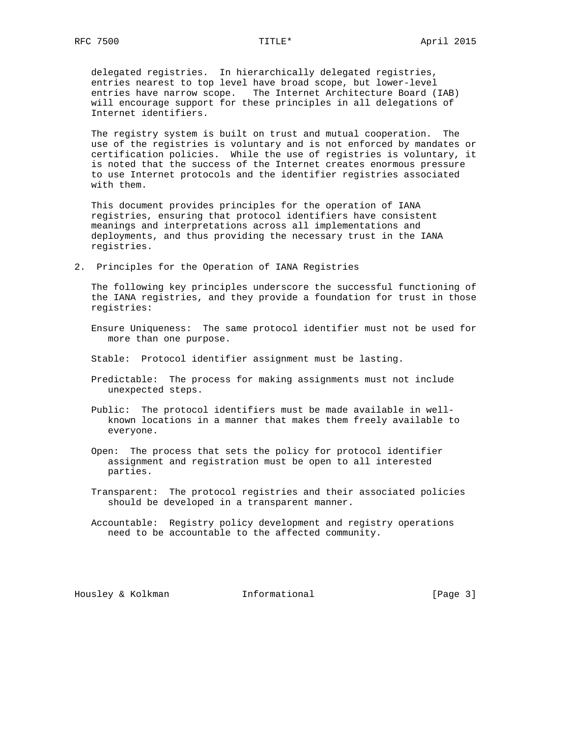delegated registries. In hierarchically delegated registries, entries nearest to top level have broad scope, but lower-level entries have narrow scope. The Internet Architecture Board (IAB) will encourage support for these principles in all delegations of Internet identifiers.

 The registry system is built on trust and mutual cooperation. The use of the registries is voluntary and is not enforced by mandates or certification policies. While the use of registries is voluntary, it is noted that the success of the Internet creates enormous pressure to use Internet protocols and the identifier registries associated with them.

 This document provides principles for the operation of IANA registries, ensuring that protocol identifiers have consistent meanings and interpretations across all implementations and deployments, and thus providing the necessary trust in the IANA registries.

2. Principles for the Operation of IANA Registries

 The following key principles underscore the successful functioning of the IANA registries, and they provide a foundation for trust in those registries:

- Ensure Uniqueness: The same protocol identifier must not be used for more than one purpose.
- Stable: Protocol identifier assignment must be lasting.
- Predictable: The process for making assignments must not include unexpected steps.
- Public: The protocol identifiers must be made available in well known locations in a manner that makes them freely available to everyone.
- Open: The process that sets the policy for protocol identifier assignment and registration must be open to all interested parties.
- Transparent: The protocol registries and their associated policies should be developed in a transparent manner.
- Accountable: Registry policy development and registry operations need to be accountable to the affected community.

Housley & Kolkman **Informational** [Page 3]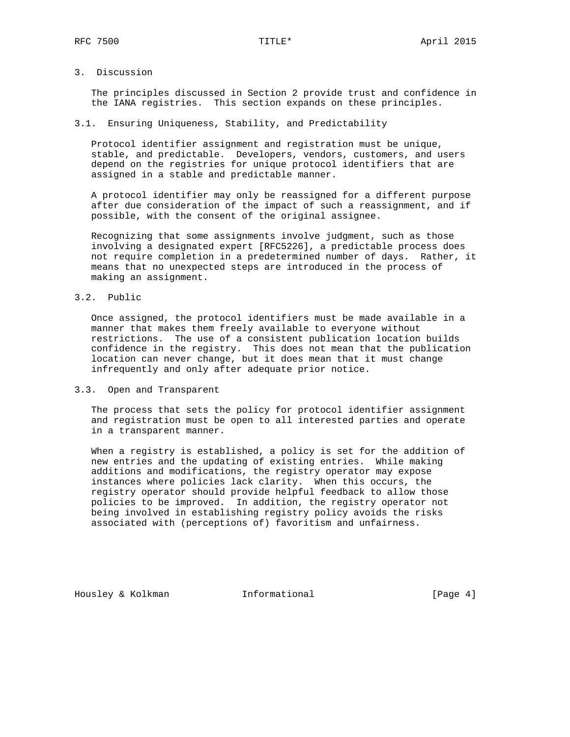3. Discussion

 The principles discussed in Section 2 provide trust and confidence in the IANA registries. This section expands on these principles.

3.1. Ensuring Uniqueness, Stability, and Predictability

 Protocol identifier assignment and registration must be unique, stable, and predictable. Developers, vendors, customers, and users depend on the registries for unique protocol identifiers that are assigned in a stable and predictable manner.

 A protocol identifier may only be reassigned for a different purpose after due consideration of the impact of such a reassignment, and if possible, with the consent of the original assignee.

 Recognizing that some assignments involve judgment, such as those involving a designated expert [RFC5226], a predictable process does not require completion in a predetermined number of days. Rather, it means that no unexpected steps are introduced in the process of making an assignment.

3.2. Public

 Once assigned, the protocol identifiers must be made available in a manner that makes them freely available to everyone without restrictions. The use of a consistent publication location builds confidence in the registry. This does not mean that the publication location can never change, but it does mean that it must change infrequently and only after adequate prior notice.

3.3. Open and Transparent

 The process that sets the policy for protocol identifier assignment and registration must be open to all interested parties and operate in a transparent manner.

 When a registry is established, a policy is set for the addition of new entries and the updating of existing entries. While making additions and modifications, the registry operator may expose instances where policies lack clarity. When this occurs, the registry operator should provide helpful feedback to allow those policies to be improved. In addition, the registry operator not being involved in establishing registry policy avoids the risks associated with (perceptions of) favoritism and unfairness.

Housley & Kolkman **Informational** [Page 4]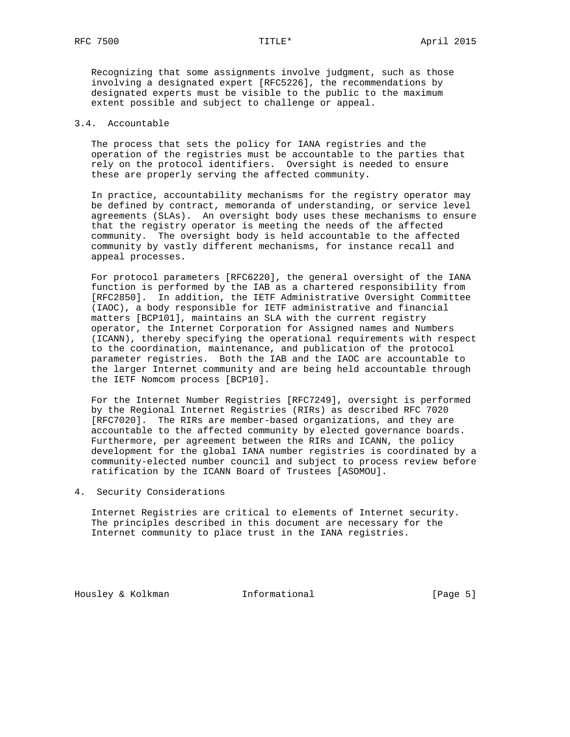Recognizing that some assignments involve judgment, such as those involving a designated expert [RFC5226], the recommendations by designated experts must be visible to the public to the maximum extent possible and subject to challenge or appeal.

# 3.4. Accountable

 The process that sets the policy for IANA registries and the operation of the registries must be accountable to the parties that rely on the protocol identifiers. Oversight is needed to ensure these are properly serving the affected community.

 In practice, accountability mechanisms for the registry operator may be defined by contract, memoranda of understanding, or service level agreements (SLAs). An oversight body uses these mechanisms to ensure that the registry operator is meeting the needs of the affected community. The oversight body is held accountable to the affected community by vastly different mechanisms, for instance recall and appeal processes.

 For protocol parameters [RFC6220], the general oversight of the IANA function is performed by the IAB as a chartered responsibility from [RFC2850]. In addition, the IETF Administrative Oversight Committee (IAOC), a body responsible for IETF administrative and financial matters [BCP101], maintains an SLA with the current registry operator, the Internet Corporation for Assigned names and Numbers (ICANN), thereby specifying the operational requirements with respect to the coordination, maintenance, and publication of the protocol parameter registries. Both the IAB and the IAOC are accountable to the larger Internet community and are being held accountable through the IETF Nomcom process [BCP10].

 For the Internet Number Registries [RFC7249], oversight is performed by the Regional Internet Registries (RIRs) as described RFC 7020 [RFC7020]. The RIRs are member-based organizations, and they are accountable to the affected community by elected governance boards. Furthermore, per agreement between the RIRs and ICANN, the policy development for the global IANA number registries is coordinated by a community-elected number council and subject to process review before ratification by the ICANN Board of Trustees [ASOMOU].

4. Security Considerations

 Internet Registries are critical to elements of Internet security. The principles described in this document are necessary for the Internet community to place trust in the IANA registries.

Housley & Kolkman **Informational** [Page 5]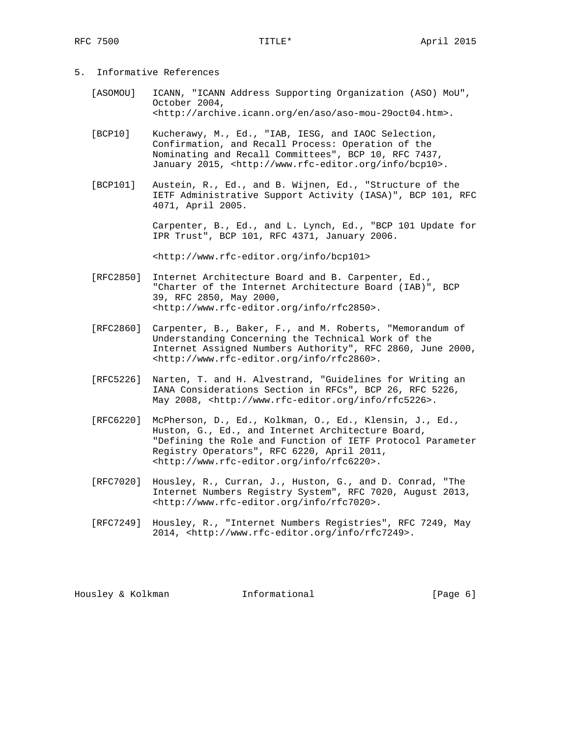- 5. Informative References
	- [ASOMOU] ICANN, "ICANN Address Supporting Organization (ASO) MoU", October 2004, <http://archive.icann.org/en/aso/aso-mou-29oct04.htm>.
	- [BCP10] Kucherawy, M., Ed., "IAB, IESG, and IAOC Selection, Confirmation, and Recall Process: Operation of the Nominating and Recall Committees", BCP 10, RFC 7437, January 2015, <http://www.rfc-editor.org/info/bcp10>.
	- [BCP101] Austein, R., Ed., and B. Wijnen, Ed., "Structure of the IETF Administrative Support Activity (IASA)", BCP 101, RFC 4071, April 2005.

 Carpenter, B., Ed., and L. Lynch, Ed., "BCP 101 Update for IPR Trust", BCP 101, RFC 4371, January 2006.

<http://www.rfc-editor.org/info/bcp101>

- [RFC2850] Internet Architecture Board and B. Carpenter, Ed., "Charter of the Internet Architecture Board (IAB)", BCP 39, RFC 2850, May 2000, <http://www.rfc-editor.org/info/rfc2850>.
- [RFC2860] Carpenter, B., Baker, F., and M. Roberts, "Memorandum of Understanding Concerning the Technical Work of the Internet Assigned Numbers Authority", RFC 2860, June 2000, <http://www.rfc-editor.org/info/rfc2860>.
- [RFC5226] Narten, T. and H. Alvestrand, "Guidelines for Writing an IANA Considerations Section in RFCs", BCP 26, RFC 5226, May 2008, <http://www.rfc-editor.org/info/rfc5226>.
- [RFC6220] McPherson, D., Ed., Kolkman, O., Ed., Klensin, J., Ed., Huston, G., Ed., and Internet Architecture Board, "Defining the Role and Function of IETF Protocol Parameter Registry Operators", RFC 6220, April 2011, <http://www.rfc-editor.org/info/rfc6220>.
- [RFC7020] Housley, R., Curran, J., Huston, G., and D. Conrad, "The Internet Numbers Registry System", RFC 7020, August 2013, <http://www.rfc-editor.org/info/rfc7020>.
- [RFC7249] Housley, R., "Internet Numbers Registries", RFC 7249, May 2014, <http://www.rfc-editor.org/info/rfc7249>.

Housley & Kolkman Thformational Fournal [Page 6]